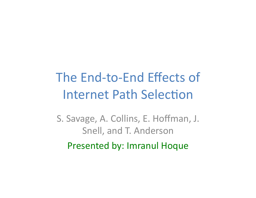# The End-to-End Effects of **Internet Path Selection**

S. Savage, A. Collins, E. Hoffman, J. Snell, and T. Anderson Presented by: Imranul Hoque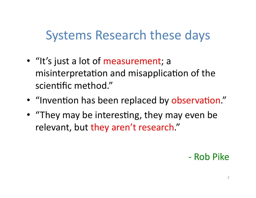## **Systems Research these days**

- "It's just a lot of measurement; a misinterpretation and misapplication of the scientific method."
- "Invention has been replaced by observation."
- "They may be interesting, they may even be relevant, but they aren't research."

#### - Rob Pike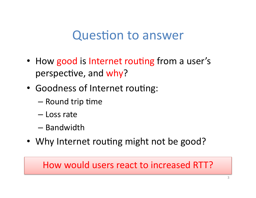### **Question to answer**

- How good is Internet routing from a user's perspective, and why?
- Goodness of Internet routing:
	- Round trip time
	- Loss rate
	- Bandwidth
- Why Internet routing might not be good?

#### How would users react to increased RTT?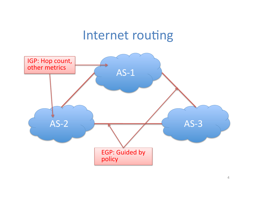### Internet routing

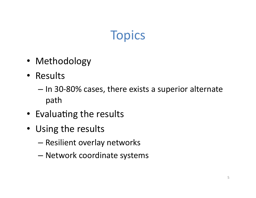# **Topics**

- Methodology
- Results
	- In 30-80% cases, there exists a superior alternate path
- Evaluating the results
- Using the results
	- Resilient overlay networks
	- Network coordinate systems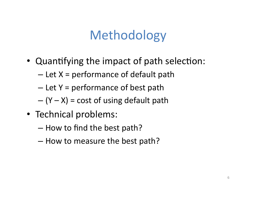# Methodology

- Quantifying the impact of path selection:
	- $-$  Let  $X =$  performance of default path
	- $-$  Let Y = performance of best path
	- $-(Y X)$  = cost of using default path
- Technical problems:
	- How to find the best path?
	- How to measure the best path?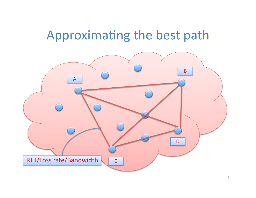# Approximating the best path

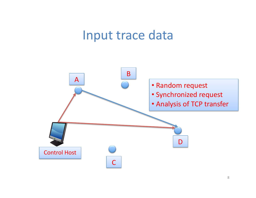### Input trace data

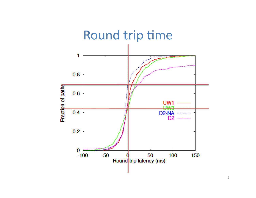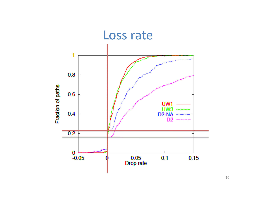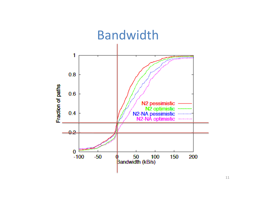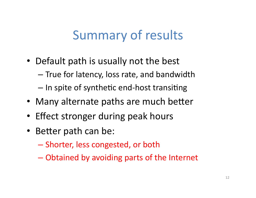## **Summary of results**

- Default path is usually not the best
	- True for latency, loss rate, and bandwidth
	- In spite of synthetic end-host transiting
- Many alternate paths are much better
- Effect stronger during peak hours
- Better path can be:
	- Shorter, less congested, or both
	- Obtained by avoiding parts of the Internet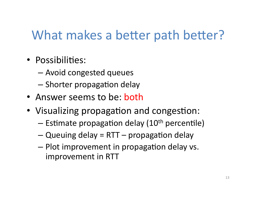# What makes a better path better?

- · Possibilities:
	- Avoid congested queues
	- Shorter propagation delay
- Answer seems to be: both
- Visualizing propagation and congestion:
	- $-$  Estimate propagation delay (10<sup>th</sup> percentile)
	- $-Q$ ueuing delay = RTT propagation delay
	- Plot improvement in propagation delay vs. improvement in RTT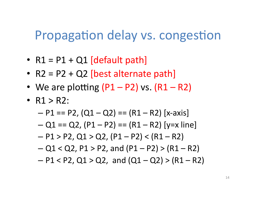#### Propagation delay vs. congestion

- $R1 = P1 + Q1$  [default path]
- $R2 = P2 + Q2$  [best alternate path]
- We are plotting  $(P1 P2)$  vs.  $(R1 R2)$
- $R1 > R2$ :
	- $P1 == P2$ ,  $(Q1 Q2) == (R1 R2)$  [x-axis]
	- $-Q1 = Q2$ ,  $(P1 P2) = (R1 R2)$  [y=x line]
	- $P1 > P2$ , Q1 > Q2, (P1 P2) < (R1 R2)
	- $-Q1 < Q2$ , P1 > P2, and (P1 P2) > (R1 R2)
	- $-$  P1 < P2, Q1 > Q2, and (Q1 Q2) > (R1 R2)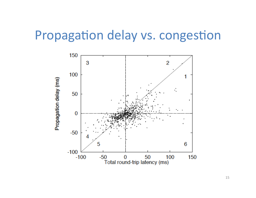### Propagation delay vs. congestion

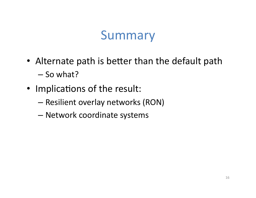# Summary

- Alternate path is better than the default path  $-$  So what?
- Implications of the result:
	- Resilient overlay networks (RON)
	- Network coordinate systems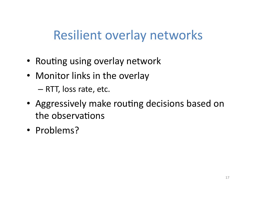## **Resilient overlay networks**

- Routing using overlay network
- Monitor links in the overlay

- RTT, loss rate, etc.

- Aggressively make routing decisions based on the observations
- Problems?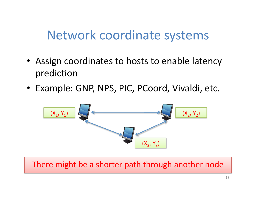## Network coordinate systems

- Assign coordinates to hosts to enable latency prediction
- Example: GNP, NPS, PIC, PCoord, Vivaldi, etc.



There might be a shorter path through another node